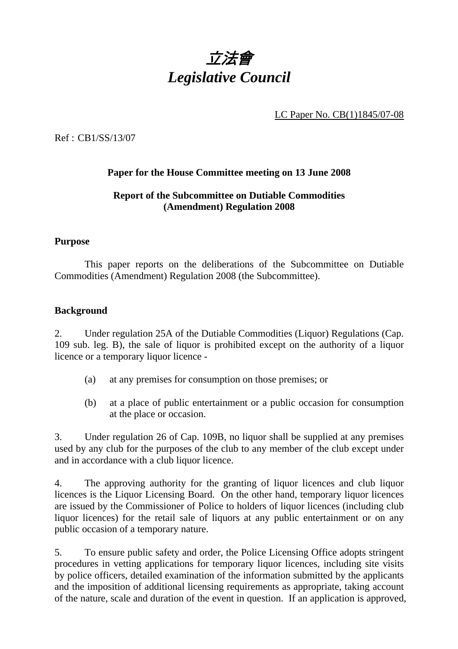

LC Paper No. CB(1)1845/07-08

Ref : CB1/SS/13/07

## **Paper for the House Committee meeting on 13 June 2008**

## **Report of the Subcommittee on Dutiable Commodities (Amendment) Regulation 2008**

#### **Purpose**

 This paper reports on the deliberations of the Subcommittee on Dutiable Commodities (Amendment) Regulation 2008 (the Subcommittee).

#### **Background**

2. Under regulation 25A of the Dutiable Commodities (Liquor) Regulations (Cap. 109 sub. leg. B), the sale of liquor is prohibited except on the authority of a liquor licence or a temporary liquor licence -

- (a) at any premises for consumption on those premises; or
- (b) at a place of public entertainment or a public occasion for consumption at the place or occasion.

3. Under regulation 26 of Cap. 109B, no liquor shall be supplied at any premises used by any club for the purposes of the club to any member of the club except under and in accordance with a club liquor licence.

4. The approving authority for the granting of liquor licences and club liquor licences is the Liquor Licensing Board. On the other hand, temporary liquor licences are issued by the Commissioner of Police to holders of liquor licences (including club liquor licences) for the retail sale of liquors at any public entertainment or on any public occasion of a temporary nature.

5. To ensure public safety and order, the Police Licensing Office adopts stringent procedures in vetting applications for temporary liquor licences, including site visits by police officers, detailed examination of the information submitted by the applicants and the imposition of additional licensing requirements as appropriate, taking account of the nature, scale and duration of the event in question. If an application is approved,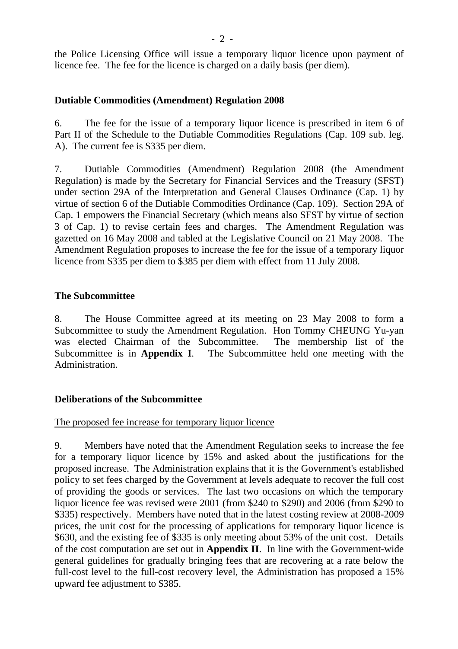the Police Licensing Office will issue a temporary liquor licence upon payment of licence fee. The fee for the licence is charged on a daily basis (per diem).

## **Dutiable Commodities (Amendment) Regulation 2008**

6. The fee for the issue of a temporary liquor licence is prescribed in item 6 of Part II of the Schedule to the Dutiable Commodities Regulations (Cap. 109 sub. leg. A). The current fee is \$335 per diem.

7. Dutiable Commodities (Amendment) Regulation 2008 (the Amendment Regulation) is made by the Secretary for Financial Services and the Treasury (SFST) under section 29A of the Interpretation and General Clauses Ordinance (Cap. 1) by virtue of section 6 of the Dutiable Commodities Ordinance (Cap. 109). Section 29A of Cap. 1 empowers the Financial Secretary (which means also SFST by virtue of section 3 of Cap. 1) to revise certain fees and charges. The Amendment Regulation was gazetted on 16 May 2008 and tabled at the Legislative Council on 21 May 2008. The Amendment Regulation proposes to increase the fee for the issue of a temporary liquor licence from \$335 per diem to \$385 per diem with effect from 11 July 2008.

#### **The Subcommittee**

8. The House Committee agreed at its meeting on 23 May 2008 to form a Subcommittee to study the Amendment Regulation. Hon Tommy CHEUNG Yu-yan was elected Chairman of the Subcommittee. The membership list of the Subcommittee is in **Appendix I**. The Subcommittee held one meeting with the Administration.

## **Deliberations of the Subcommittee**

#### The proposed fee increase for temporary liquor licence

9. Members have noted that the Amendment Regulation seeks to increase the fee for a temporary liquor licence by 15% and asked about the justifications for the proposed increase. The Administration explains that it is the Government's established policy to set fees charged by the Government at levels adequate to recover the full cost of providing the goods or services. The last two occasions on which the temporary liquor licence fee was revised were 2001 (from \$240 to \$290) and 2006 (from \$290 to \$335) respectively. Members have noted that in the latest costing review at 2008-2009 prices, the unit cost for the processing of applications for temporary liquor licence is \$630, and the existing fee of \$335 is only meeting about 53% of the unit cost. Details of the cost computation are set out in **Appendix II**. In line with the Government-wide general guidelines for gradually bringing fees that are recovering at a rate below the full-cost level to the full-cost recovery level, the Administration has proposed a 15% upward fee adjustment to \$385.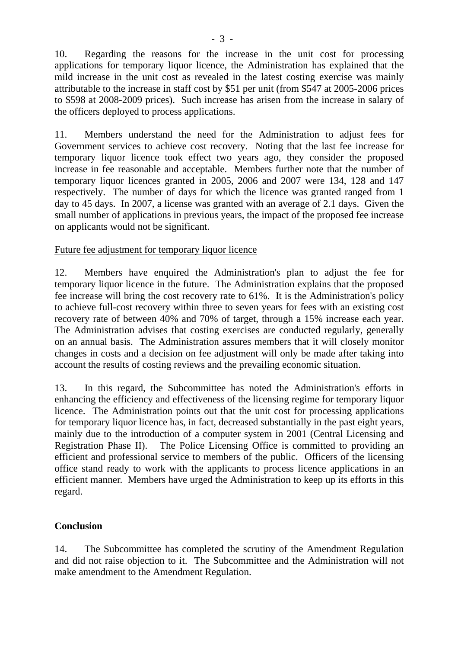10. Regarding the reasons for the increase in the unit cost for processing applications for temporary liquor licence, the Administration has explained that the mild increase in the unit cost as revealed in the latest costing exercise was mainly attributable to the increase in staff cost by \$51 per unit (from \$547 at 2005-2006 prices to \$598 at 2008-2009 prices). Such increase has arisen from the increase in salary of the officers deployed to process applications.

11. Members understand the need for the Administration to adjust fees for Government services to achieve cost recovery. Noting that the last fee increase for temporary liquor licence took effect two years ago, they consider the proposed increase in fee reasonable and acceptable. Members further note that the number of temporary liquor licences granted in 2005, 2006 and 2007 were 134, 128 and 147 respectively. The number of days for which the licence was granted ranged from 1 day to 45 days. In 2007, a license was granted with an average of 2.1 days. Given the small number of applications in previous years, the impact of the proposed fee increase on applicants would not be significant.

## Future fee adjustment for temporary liquor licence

12. Members have enquired the Administration's plan to adjust the fee for temporary liquor licence in the future. The Administration explains that the proposed fee increase will bring the cost recovery rate to 61%. It is the Administration's policy to achieve full-cost recovery within three to seven years for fees with an existing cost recovery rate of between 40% and 70% of target, through a 15% increase each year. The Administration advises that costing exercises are conducted regularly, generally on an annual basis. The Administration assures members that it will closely monitor changes in costs and a decision on fee adjustment will only be made after taking into account the results of costing reviews and the prevailing economic situation.

13. In this regard, the Subcommittee has noted the Administration's efforts in enhancing the efficiency and effectiveness of the licensing regime for temporary liquor licence. The Administration points out that the unit cost for processing applications for temporary liquor licence has, in fact, decreased substantially in the past eight years, mainly due to the introduction of a computer system in 2001 (Central Licensing and Registration Phase II). The Police Licensing Office is committed to providing an efficient and professional service to members of the public. Officers of the licensing office stand ready to work with the applicants to process licence applications in an efficient manner. Members have urged the Administration to keep up its efforts in this regard.

# **Conclusion**

14. The Subcommittee has completed the scrutiny of the Amendment Regulation and did not raise objection to it. The Subcommittee and the Administration will not make amendment to the Amendment Regulation.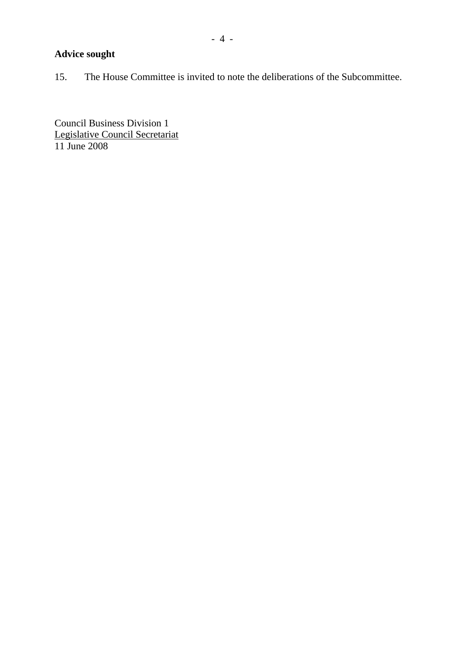# **Advice sought**

15. The House Committee is invited to note the deliberations of the Subcommittee.

Council Business Division 1 Legislative Council Secretariat 11 June 2008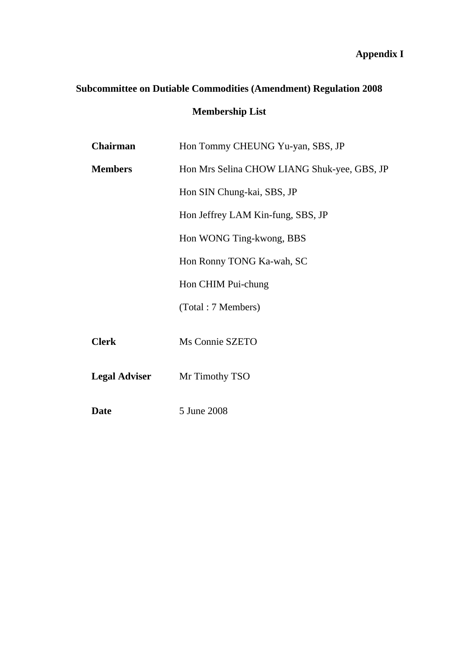# **Appendix I**

# **Subcommittee on Dutiable Commodities (Amendment) Regulation 2008**

# **Membership List**

| <b>Chairman</b>      | Hon Tommy CHEUNG Yu-yan, SBS, JP            |
|----------------------|---------------------------------------------|
| <b>Members</b>       | Hon Mrs Selina CHOW LIANG Shuk-yee, GBS, JP |
|                      | Hon SIN Chung-kai, SBS, JP                  |
|                      | Hon Jeffrey LAM Kin-fung, SBS, JP           |
|                      | Hon WONG Ting-kwong, BBS                    |
|                      | Hon Ronny TONG Ka-wah, SC                   |
|                      | Hon CHIM Pui-chung                          |
|                      | (Total: 7 Members)                          |
| <b>Clerk</b>         | Ms Connie SZETO                             |
| <b>Legal Adviser</b> | Mr Timothy TSO                              |
| <b>Date</b>          | 5 June 2008                                 |